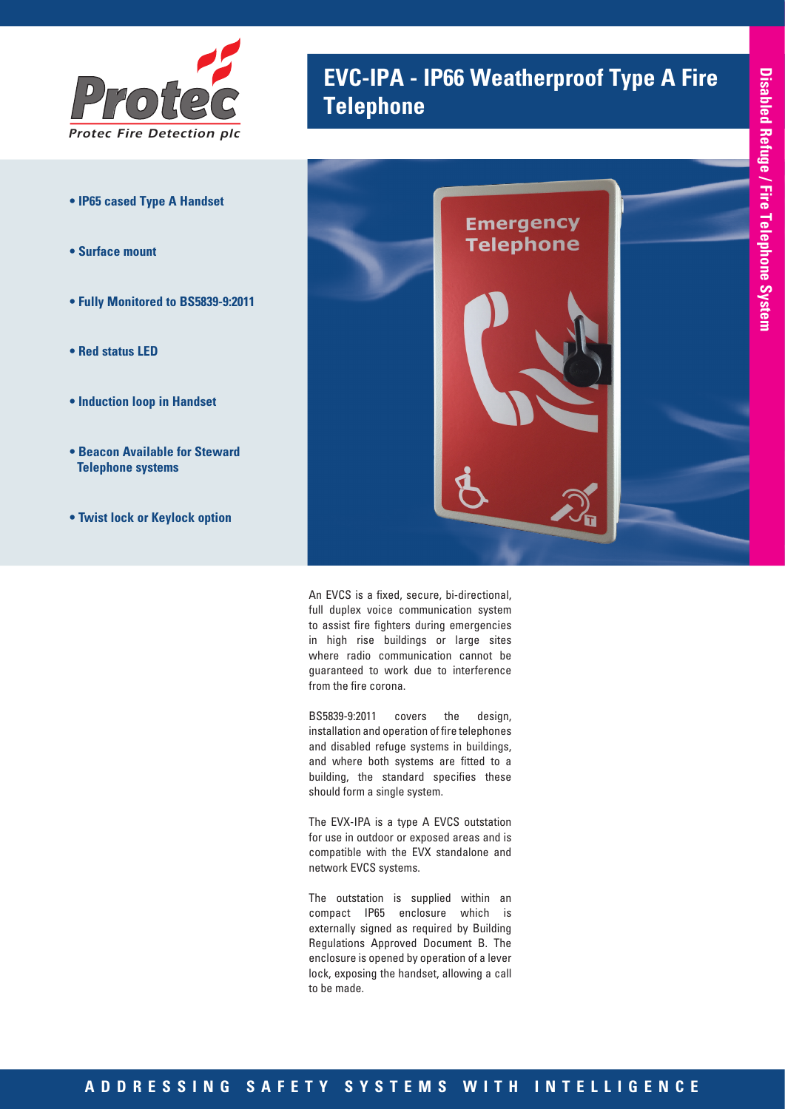

- **IP65 cased Type A Handset**
- **Surface mount**
- **Fully Monitored to BS5839-9:2011**
- **Red status LED**
- **Induction loop in Handset**
- **Beacon Available for Steward Telephone systems**
- **Twist lock or Keylock option**

# **EVC-IPA - IP66 Weatherproof Type A Fire Telephone**



An EVCS is a fixed, secure, bi-directional, full duplex voice communication system to assist fire fighters during emergencies in high rise buildings or large sites where radio communication cannot be guaranteed to work due to interference from the fire corona.

BS5839-9:2011 covers the design, installation and operation of fire telephones and disabled refuge systems in buildings, and where both systems are fitted to a building, the standard specifies these should form a single system.

The EVX-IPA is a type A EVCS outstation for use in outdoor or exposed areas and is compatible with the EVX standalone and network EVCS systems.

The outstation is supplied within an compact IP65 enclosure which is externally signed as required by Building Regulations Approved Document B. The enclosure is opened by operation of a lever lock, exposing the handset, allowing a call to be made.